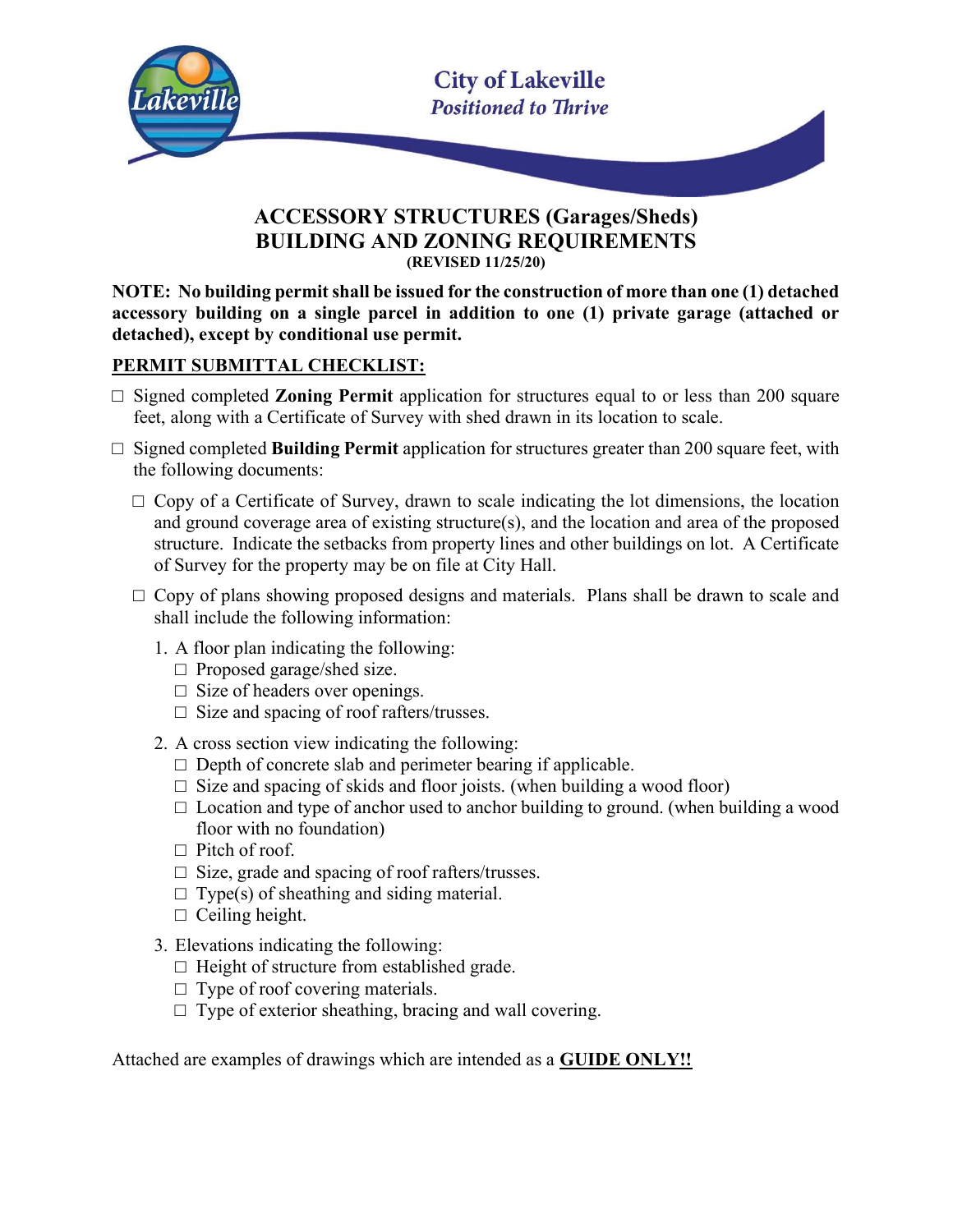

# ACCESSORY STRUCTURES (Garages/Sheds) BUILDING AND ZONING REQUIREMENTS (REVISED 11/25/20)

NOTE: No building permit shall be issued for the construction of more than one (1) detached accessory building on a single parcel in addition to one (1) private garage (attached or detached), except by conditional use permit.

### PERMIT SUBMITTAL CHECKLIST:

- $\square$  Signed completed **Zoning Permit** application for structures equal to or less than 200 square feet, along with a Certificate of Survey with shed drawn in its location to scale.
- □ Signed completed Building Permit application for structures greater than 200 square feet, with the following documents:
	- $\Box$  Copy of a Certificate of Survey, drawn to scale indicating the lot dimensions, the location and ground coverage area of existing structure(s), and the location and area of the proposed structure. Indicate the setbacks from property lines and other buildings on lot. A Certificate of Survey for the property may be on file at City Hall.
	- $\Box$  Copy of plans showing proposed designs and materials. Plans shall be drawn to scale and shall include the following information:
		- 1. A floor plan indicating the following:
			- $\Box$  Proposed garage/shed size.
			- $\Box$  Size of headers over openings.
			- $\square$  Size and spacing of roof rafters/trusses.
		- 2. A cross section view indicating the following:
			- $\Box$  Depth of concrete slab and perimeter bearing if applicable.
			- $\square$  Size and spacing of skids and floor joists. (when building a wood floor)
			- $\Box$  Location and type of anchor used to anchor building to ground. (when building a wood floor with no foundation)
			- $\Box$  Pitch of roof.
			- □ Size, grade and spacing of roof rafters/trusses.
			- $\Box$  Type(s) of sheathing and siding material.
			- $\Box$  Ceiling height.
		- 3. Elevations indicating the following:
			- $\Box$  Height of structure from established grade.
			- $\Box$  Type of roof covering materials.
			- $\Box$  Type of exterior sheathing, bracing and wall covering.

Attached are examples of drawings which are intended as a GUIDE ONLY!!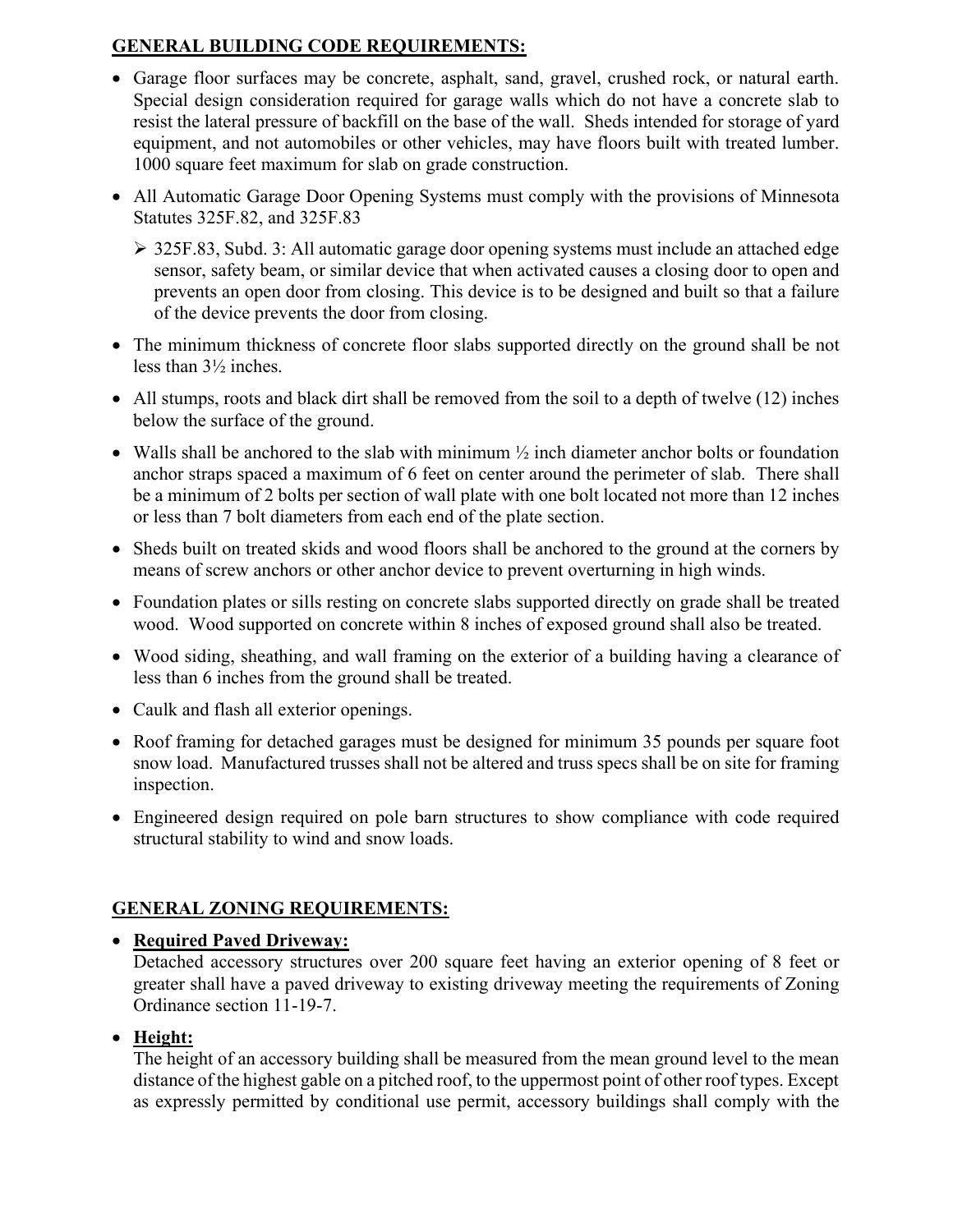## GENERAL BUILDING CODE REQUIREMENTS:

- Garage floor surfaces may be concrete, asphalt, sand, gravel, crushed rock, or natural earth. Special design consideration required for garage walls which do not have a concrete slab to resist the lateral pressure of backfill on the base of the wall. Sheds intended for storage of yard equipment, and not automobiles or other vehicles, may have floors built with treated lumber. 1000 square feet maximum for slab on grade construction.
- All Automatic Garage Door Opening Systems must comply with the provisions of Minnesota Statutes 325F.82, and 325F.83
	- 325F.83, Subd. 3: All automatic garage door opening systems must include an attached edge sensor, safety beam, or similar device that when activated causes a closing door to open and prevents an open door from closing. This device is to be designed and built so that a failure of the device prevents the door from closing.
- The minimum thickness of concrete floor slabs supported directly on the ground shall be not less than 3½ inches.
- All stumps, roots and black dirt shall be removed from the soil to a depth of twelve (12) inches below the surface of the ground.
- Walls shall be anchored to the slab with minimum  $\frac{1}{2}$  inch diameter anchor bolts or foundation anchor straps spaced a maximum of 6 feet on center around the perimeter of slab. There shall be a minimum of 2 bolts per section of wall plate with one bolt located not more than 12 inches or less than 7 bolt diameters from each end of the plate section.
- Sheds built on treated skids and wood floors shall be anchored to the ground at the corners by means of screw anchors or other anchor device to prevent overturning in high winds.
- Foundation plates or sills resting on concrete slabs supported directly on grade shall be treated wood. Wood supported on concrete within 8 inches of exposed ground shall also be treated.
- Wood siding, sheathing, and wall framing on the exterior of a building having a clearance of less than 6 inches from the ground shall be treated.
- Caulk and flash all exterior openings.
- Roof framing for detached garages must be designed for minimum 35 pounds per square foot snow load. Manufactured trusses shall not be altered and truss specs shall be on site for framing inspection.
- Engineered design required on pole barn structures to show compliance with code required structural stability to wind and snow loads.

# GENERAL ZONING REQUIREMENTS:

#### • Required Paved Driveway:

Detached accessory structures over 200 square feet having an exterior opening of 8 feet or greater shall have a paved driveway to existing driveway meeting the requirements of Zoning Ordinance section 11-19-7.

# Height:

The height of an accessory building shall be measured from the mean ground level to the mean distance of the highest gable on a pitched roof, to the uppermost point of other roof types. Except as expressly permitted by conditional use permit, accessory buildings shall comply with the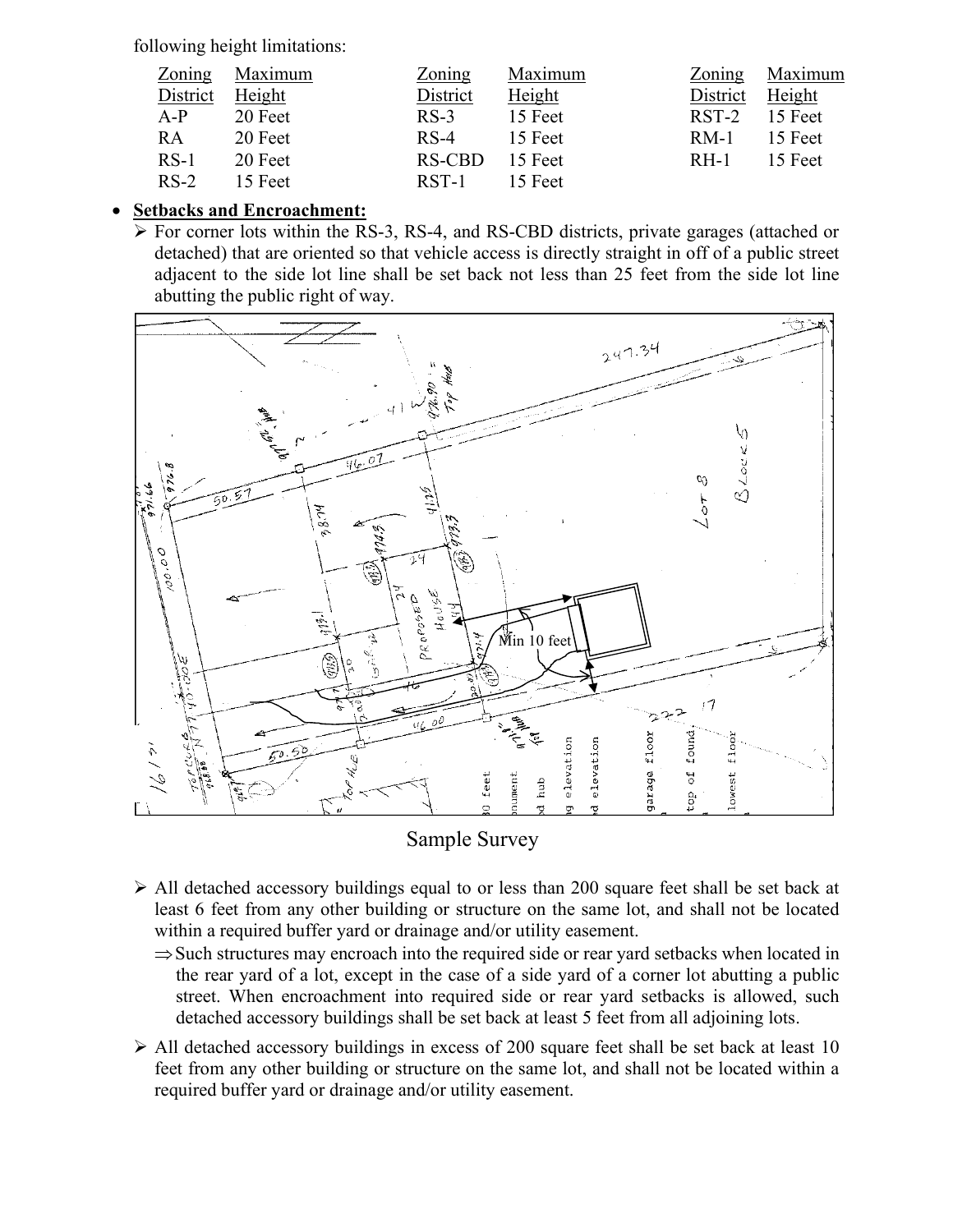following height limitations:

| Zoning          | Maximum | Zoning   | Maximum |                 | Zoning Maximum |
|-----------------|---------|----------|---------|-----------------|----------------|
| District Height |         | District | Height  | District Height |                |
| $A-P$           | 20 Feet | $RS-3$   | 15 Feet | $RST-2$ 15 Feet |                |
| RA              | 20 Feet | $RS-4$   | 15 Feet | $RM-1$ 15 Feet  |                |
| $RS-1$          | 20 Feet | RS-CBD   | 15 Feet | $RH-1$ 15 Feet  |                |
| $RS-2$          | 15 Feet | RST-1    | 15 Feet |                 |                |

## Setbacks and Encroachment:

 For corner lots within the RS-3, RS-4, and RS-CBD districts, private garages (attached or detached) that are oriented so that vehicle access is directly straight in off of a public street adjacent to the side lot line shall be set back not less than 25 feet from the side lot line abutting the public right of way.





- $\triangleright$  All detached accessory buildings equal to or less than 200 square feet shall be set back at least 6 feet from any other building or structure on the same lot, and shall not be located within a required buffer yard or drainage and/or utility easement.
	- $\Rightarrow$  Such structures may encroach into the required side or rear yard setbacks when located in the rear yard of a lot, except in the case of a side yard of a corner lot abutting a public street. When encroachment into required side or rear yard setbacks is allowed, such detached accessory buildings shall be set back at least 5 feet from all adjoining lots.
- $\triangleright$  All detached accessory buildings in excess of 200 square feet shall be set back at least 10 feet from any other building or structure on the same lot, and shall not be located within a required buffer yard or drainage and/or utility easement.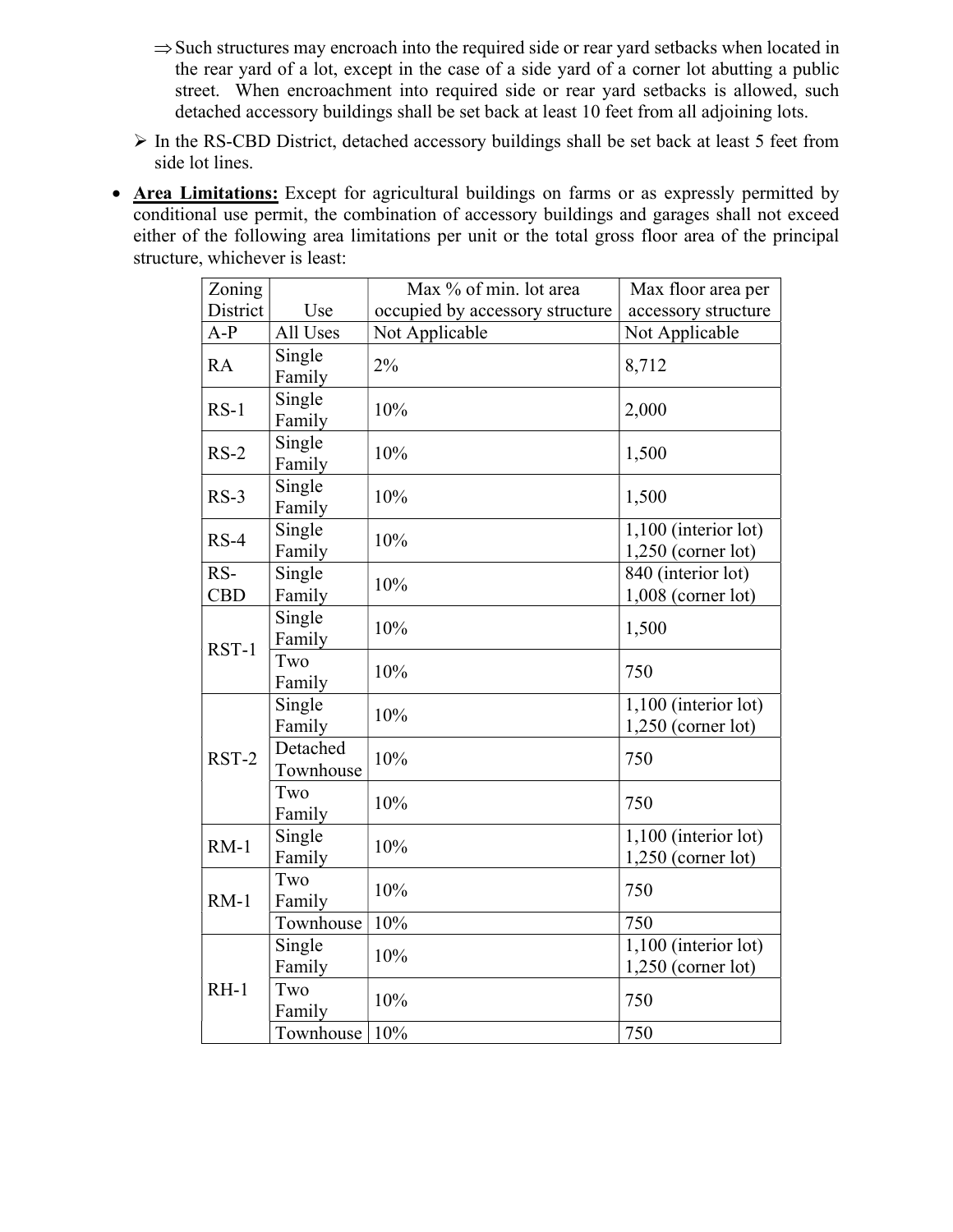- $\Rightarrow$  Such structures may encroach into the required side or rear yard setbacks when located in the rear yard of a lot, except in the case of a side yard of a corner lot abutting a public street. When encroachment into required side or rear yard setbacks is allowed, such detached accessory buildings shall be set back at least 10 feet from all adjoining lots.
- In the RS-CBD District, detached accessory buildings shall be set back at least 5 feet from side lot lines.
- Area Limitations: Except for agricultural buildings on farms or as expressly permitted by conditional use permit, the combination of accessory buildings and garages shall not exceed either of the following area limitations per unit or the total gross floor area of the principal structure, whichever is least:

| Zoning            |                       | Max % of min. lot area          | Max floor area per                           |
|-------------------|-----------------------|---------------------------------|----------------------------------------------|
| District          | Use                   | occupied by accessory structure | accessory structure                          |
| $A-P$             | All Uses              | Not Applicable                  | Not Applicable                               |
| <b>RA</b>         | Single<br>Family      | 2%                              | 8,712                                        |
| $RS-1$            | Single<br>Family      | 10%                             | 2,000                                        |
| $RS-2$            | Single<br>Family      | 10%                             | 1,500                                        |
| $RS-3$            | Single<br>Family      | 10%                             | 1,500                                        |
| $RS-4$            | Single<br>Family      | 10%                             | 1,100 (interior lot)<br>$1,250$ (corner lot) |
| RS-<br><b>CBD</b> | Single<br>Family      | 10%                             | 840 (interior lot)<br>$1,008$ (corner lot)   |
| $RST-1$           | Single<br>Family      | 10%                             | 1,500                                        |
|                   | Two<br>Family         | 10%                             | 750                                          |
| RST-2             | Single<br>Family      | 10%                             | 1,100 (interior lot)<br>$1,250$ (corner lot) |
|                   | Detached<br>Townhouse | 10%                             | 750                                          |
|                   | Two<br>Family         | 10%                             | 750                                          |
| $RM-1$            | Single<br>Family      | 10%                             | 1,100 (interior lot)<br>$1,250$ (corner lot) |
| $RM-1$            | Two<br>Family         | 10%                             | 750                                          |
|                   | Townhouse             | 10%                             | 750                                          |
| $RH-1$            | Single<br>Family      | 10%                             | 1,100 (interior lot)<br>$1,250$ (corner lot) |
|                   | Two<br>Family         | 10%                             | 750                                          |
|                   | Townhouse             | 10%                             | 750                                          |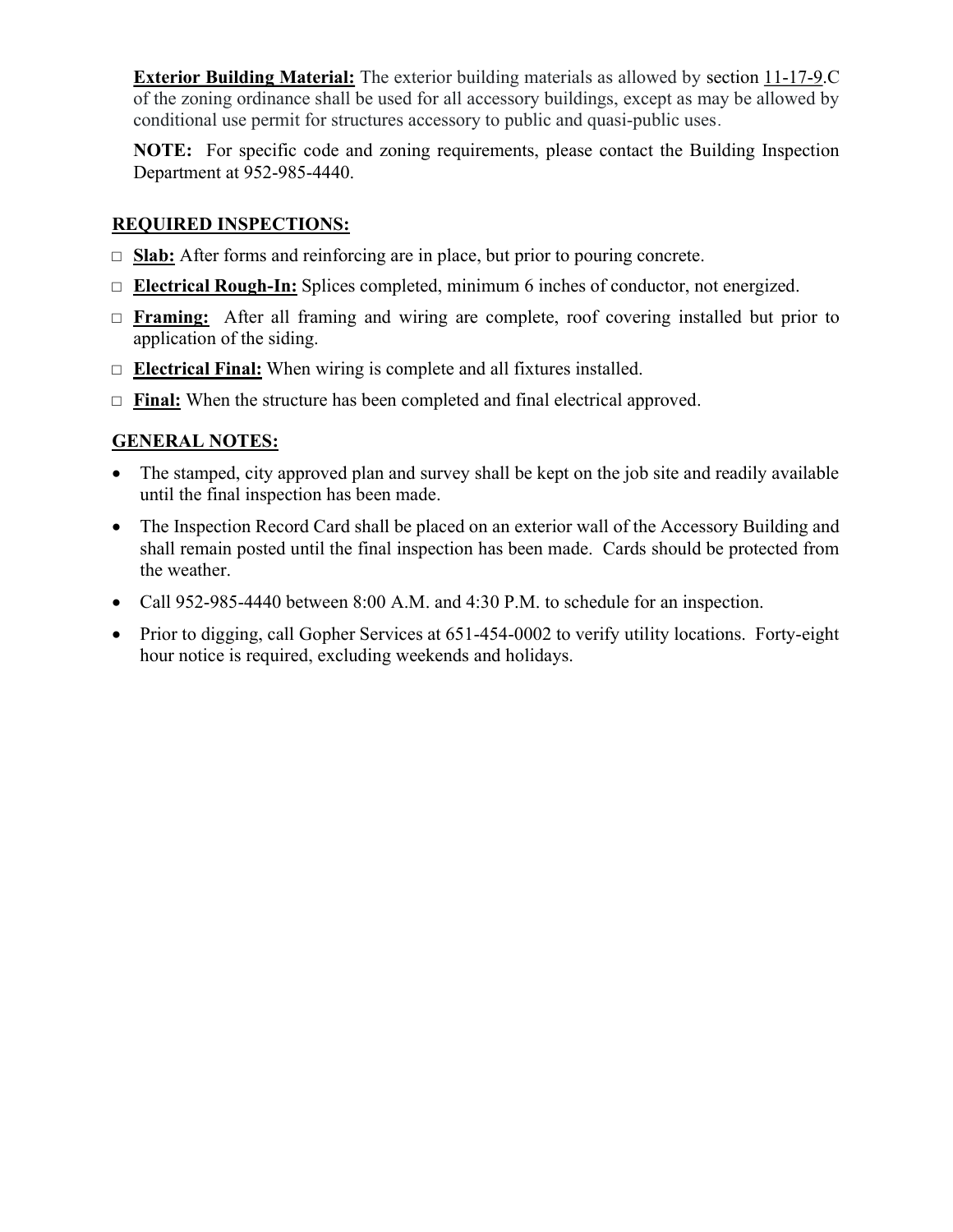Exterior Building Material: The exterior building materials as allowed by section 11-17-9.C of the zoning ordinance shall be used for all accessory buildings, except as may be allowed by conditional use permit for structures accessory to public and quasi-public uses.

NOTE: For specific code and zoning requirements, please contact the Building Inspection Department at 952-985-4440.

#### REQUIRED INSPECTIONS:

- $\Box$  Slab: After forms and reinforcing are in place, but prior to pouring concrete.
- $\Box$  Electrical Rough-In: Splices completed, minimum 6 inches of conductor, not energized.
- □ Framing: After all framing and wiring are complete, roof covering installed but prior to application of the siding.
- $\Box$  **Electrical Final:** When wiring is complete and all fixtures installed.
- $\Box$  Final: When the structure has been completed and final electrical approved.

#### GENERAL NOTES:

- The stamped, city approved plan and survey shall be kept on the job site and readily available until the final inspection has been made.
- The Inspection Record Card shall be placed on an exterior wall of the Accessory Building and shall remain posted until the final inspection has been made. Cards should be protected from the weather.
- Call 952-985-4440 between 8:00 A.M. and 4:30 P.M. to schedule for an inspection.
- Prior to digging, call Gopher Services at 651-454-0002 to verify utility locations. Forty-eight hour notice is required, excluding weekends and holidays.